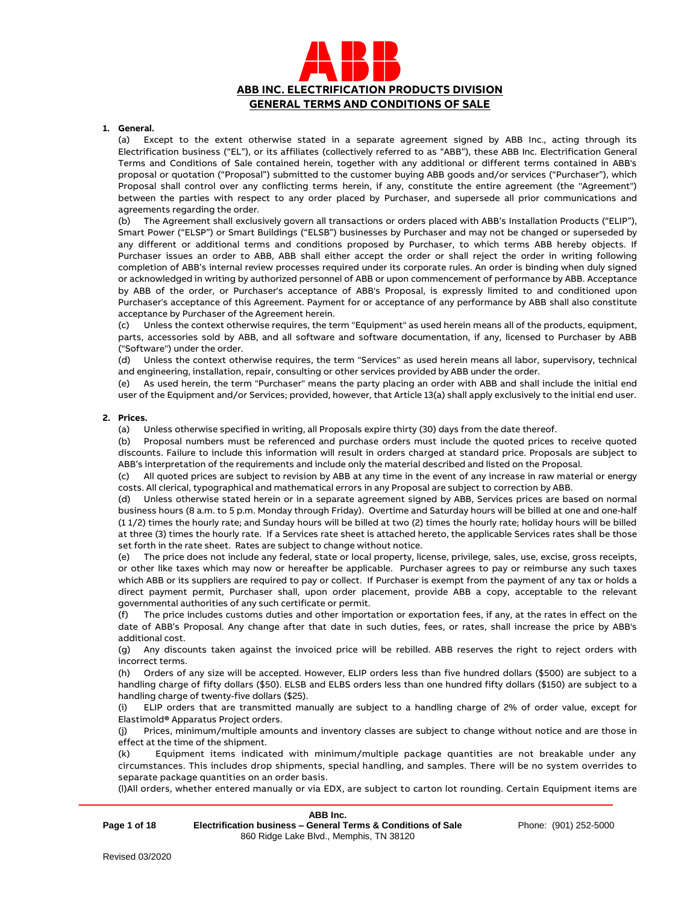

## **1. General.**

(a) Except to the extent otherwise stated in a separate agreement signed by ABB Inc., acting through its Electrification business ("EL"), or its affiliates (collectively referred to as "ABB"), these ABB Inc. Electrification General Terms and Conditions of Sale contained herein, together with any additional or different terms contained in ABB's proposal or quotation ("Proposal") submitted to the customer buying ABB goods and/or services ("Purchaser"), which Proposal shall control over any conflicting terms herein, if any, constitute the entire agreement (the "Agreement") between the parties with respect to any order placed by Purchaser, and supersede all prior communications and agreements regarding the order.

(b) The Agreement shall exclusively govern all transactions or orders placed with ABB's Installation Products ("ELIP"), Smart Power ("ELSP") or Smart Buildings ("ELSB") businesses by Purchaser and may not be changed or superseded by any different or additional terms and conditions proposed by Purchaser, to which terms ABB hereby objects. If Purchaser issues an order to ABB, ABB shall either accept the order or shall reject the order in writing following completion of ABB's internal review processes required under its corporate rules. An order is binding when duly signed or acknowledged in writing by authorized personnel of ABB or upon commencement of performance by ABB. Acceptance by ABB of the order, or Purchaser's acceptance of ABB's Proposal, is expressly limited to and conditioned upon Purchaser's acceptance of this Agreement. Payment for or acceptance of any performance by ABB shall also constitute acceptance by Purchaser of the Agreement herein.

(c) Unless the context otherwise requires, the term "Equipment" as used herein means all of the products, equipment, parts, accessories sold by ABB, and all software and software documentation, if any, licensed to Purchaser by ABB ("Software") under the order.

(d) Unless the context otherwise requires, the term "Services" as used herein means all labor, supervisory, technical and engineering, installation, repair, consulting or other services provided by ABB under the order.

(e) As used herein, the term "Purchaser" means the party placing an order with ABB and shall include the initial end user of the Equipment and/or Services; provided, however, that Article 13(a) shall apply exclusively to the initial end user.

### **2. Prices.**

(a) Unless otherwise specified in writing, all Proposals expire thirty (30) days from the date thereof.

(b) Proposal numbers must be referenced and purchase orders must include the quoted prices to receive quoted discounts. Failure to include this information will result in orders charged at standard price. Proposals are subject to ABB's interpretation of the requirements and include only the material described and listed on the Proposal.

(c) All quoted prices are subject to revision by ABB at any time in the event of any increase in raw material or energy costs. All clerical, typographical and mathematical errors in any Proposal are subject to correction by ABB.

(d) Unless otherwise stated herein or in a separate agreement signed by ABB, Services prices are based on normal business hours (8 a.m. to 5 p.m. Monday through Friday). Overtime and Saturday hours will be billed at one and one-half (1 1/2) times the hourly rate; and Sunday hours will be billed at two (2) times the hourly rate; holiday hours will be billed at three (3) times the hourly rate. If a Services rate sheet is attached hereto, the applicable Services rates shall be those set forth in the rate sheet. Rates are subject to change without notice.

(e) The price does not include any federal, state or local property, license, privilege, sales, use, excise, gross receipts, or other like taxes which may now or hereafter be applicable. Purchaser agrees to pay or reimburse any such taxes which ABB or its suppliers are required to pay or collect. If Purchaser is exempt from the payment of any tax or holds a direct payment permit, Purchaser shall, upon order placement, provide ABB a copy, acceptable to the relevant governmental authorities of any such certificate or permit.

(f) The price includes customs duties and other importation or exportation fees, if any, at the rates in effect on the date of ABB's Proposal. Any change after that date in such duties, fees, or rates, shall increase the price by ABB's additional cost.

(g) Any discounts taken against the invoiced price will be rebilled. ABB reserves the right to reject orders with incorrect terms.

(h) Orders of any size will be accepted. However, ELIP orders less than five hundred dollars (\$500) are subject to a handling charge of fifty dollars (\$50). ELSB and ELBS orders less than one hundred fifty dollars (\$150) are subject to a handling charge of twenty-five dollars (\$25).

(i) ELIP orders that are transmitted manually are subject to a handling charge of 2% of order value, except for Elastimold**®** Apparatus Project orders.

(j) Prices, minimum/multiple amounts and inventory classes are subject to change without notice and are those in effect at the time of the shipment.

(k) Equipment items indicated with minimum/multiple package quantities are not breakable under any circumstances. This includes drop shipments, special handling, and samples. There will be no system overrides to separate package quantities on an order basis.

(l)All orders, whether entered manually or via EDX, are subject to carton lot rounding. Certain Equipment items are

|              | ABB Inc.                                                      |    |
|--------------|---------------------------------------------------------------|----|
| Page 1 of 18 | Electrification business – General Terms & Conditions of Sale | Ph |
|              | 860 Ridge Lake Blvd., Memphis, TN 38120                       |    |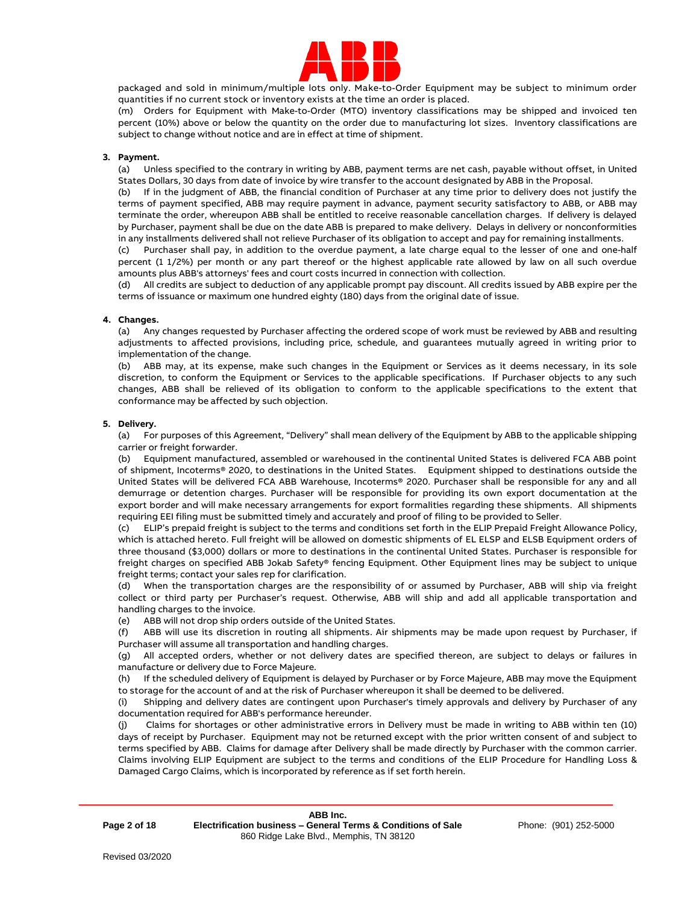

packaged and sold in minimum/multiple lots only. Make-to-Order Equipment may be subject to minimum order quantities if no current stock or inventory exists at the time an order is placed.

(m) Orders for Equipment with Make-to-Order (MTO) inventory classifications may be shipped and invoiced ten percent (10%) above or below the quantity on the order due to manufacturing lot sizes. Inventory classifications are subject to change without notice and are in effect at time of shipment.

## **3. Payment.**

(a) Unless specified to the contrary in writing by ABB, payment terms are net cash, payable without offset, in United States Dollars, 30 days from date of invoice by wire transfer to the account designated by ABB in the Proposal.

(b) If in the judgment of ABB, the financial condition of Purchaser at any time prior to delivery does not justify the terms of payment specified, ABB may require payment in advance, payment security satisfactory to ABB, or ABB may terminate the order, whereupon ABB shall be entitled to receive reasonable cancellation charges. If delivery is delayed by Purchaser, payment shall be due on the date ABB is prepared to make delivery. Delays in delivery or nonconformities in any installments delivered shall not relieve Purchaser of its obligation to accept and pay for remaining installments.

(c) Purchaser shall pay, in addition to the overdue payment, a late charge equal to the lesser of one and one-half percent (1 1/2%) per month or any part thereof or the highest applicable rate allowed by law on all such overdue amounts plus ABB's attorneys' fees and court costs incurred in connection with collection.

(d) All credits are subject to deduction of any applicable prompt pay discount. All credits issued by ABB expire per the terms of issuance or maximum one hundred eighty (180) days from the original date of issue.

## **4. Changes.**

(a) Any changes requested by Purchaser affecting the ordered scope of work must be reviewed by ABB and resulting adjustments to affected provisions, including price, schedule, and guarantees mutually agreed in writing prior to implementation of the change.

(b) ABB may, at its expense, make such changes in the Equipment or Services as it deems necessary, in its sole discretion, to conform the Equipment or Services to the applicable specifications. If Purchaser objects to any such changes, ABB shall be relieved of its obligation to conform to the applicable specifications to the extent that conformance may be affected by such objection.

## **5. Delivery.**

(a) For purposes of this Agreement, "Delivery" shall mean delivery of the Equipment by ABB to the applicable shipping carrier or freight forwarder.

(b) Equipment manufactured, assembled or warehoused in the continental United States is delivered FCA ABB point of shipment, Incoterms® 2020, to destinations in the United States. Equipment shipped to destinations outside the United States will be delivered FCA ABB Warehouse, Incoterms® 2020. Purchaser shall be responsible for any and all demurrage or detention charges. Purchaser will be responsible for providing its own export documentation at the export border and will make necessary arrangements for export formalities regarding these shipments. All shipments requiring EEI filing must be submitted timely and accurately and proof of filing to be provided to Seller.

(c) ELIP's prepaid freight is subject to the terms and conditions set forth in the ELIP Prepaid Freight Allowance Policy, which is attached hereto. Full freight will be allowed on domestic shipments of EL ELSP and ELSB Equipment orders of three thousand (\$3,000) dollars or more to destinations in the continental United States. Purchaser is responsible for freight charges on specified ABB Jokab Safety® fencing Equipment. Other Equipment lines may be subject to unique freight terms; contact your sales rep for clarification.

(d) When the transportation charges are the responsibility of or assumed by Purchaser, ABB will ship via freight collect or third party per Purchaser's request. Otherwise, ABB will ship and add all applicable transportation and handling charges to the invoice.

(e) ABB will not drop ship orders outside of the United States.

(f) ABB will use its discretion in routing all shipments. Air shipments may be made upon request by Purchaser, if Purchaser will assume all transportation and handling charges.

(g) All accepted orders, whether or not delivery dates are specified thereon, are subject to delays or failures in manufacture or delivery due to Force Majeure.

(h) If the scheduled delivery of Equipment is delayed by Purchaser or by Force Majeure, ABB may move the Equipment to storage for the account of and at the risk of Purchaser whereupon it shall be deemed to be delivered.

(i) Shipping and delivery dates are contingent upon Purchaser's timely approvals and delivery by Purchaser of any documentation required for ABB's performance hereunder.

(j) Claims for shortages or other administrative errors in Delivery must be made in writing to ABB within ten (10) days of receipt by Purchaser. Equipment may not be returned except with the prior written consent of and subject to terms specified by ABB. Claims for damage after Delivery shall be made directly by Purchaser with the common carrier. Claims involving ELIP Equipment are subject to the terms and conditions of the ELIP Procedure for Handling Loss & Damaged Cargo Claims, which is incorporated by reference as if set forth herein.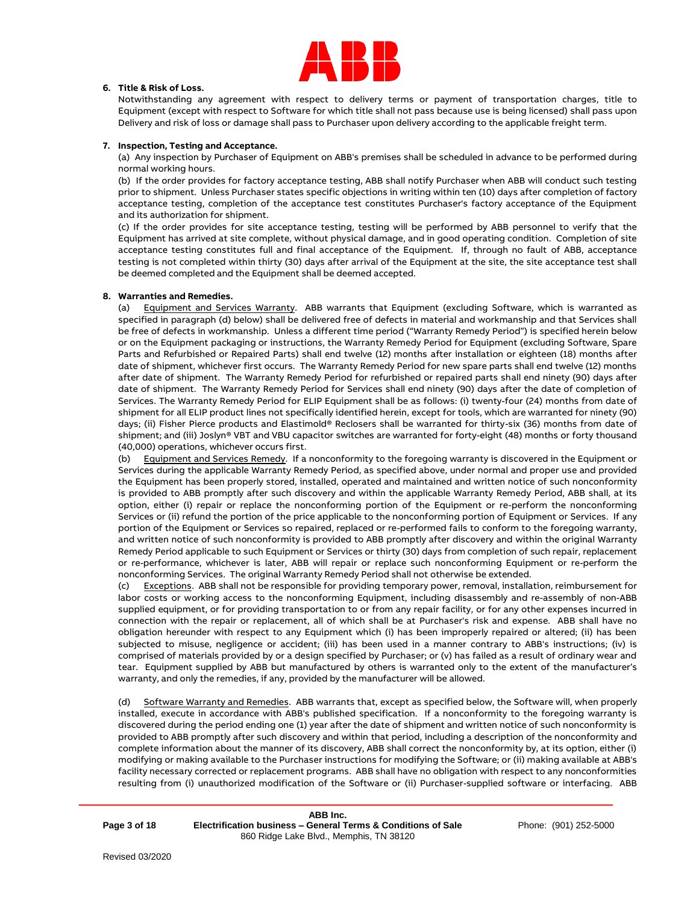

# **6. Title & Risk of Loss.**

Notwithstanding any agreement with respect to delivery terms or payment of transportation charges, title to Equipment (except with respect to Software for which title shall not pass because use is being licensed) shall pass upon Delivery and risk of loss or damage shall pass to Purchaser upon delivery according to the applicable freight term.

## **7. Inspection, Testing and Acceptance.**

(a) Any inspection by Purchaser of Equipment on ABB's premises shall be scheduled in advance to be performed during normal working hours.

(b) If the order provides for factory acceptance testing, ABB shall notify Purchaser when ABB will conduct such testing prior to shipment. Unless Purchaser states specific objections in writing within ten (10) days after completion of factory acceptance testing, completion of the acceptance test constitutes Purchaser's factory acceptance of the Equipment and its authorization for shipment.

(c) If the order provides for site acceptance testing, testing will be performed by ABB personnel to verify that the Equipment has arrived at site complete, without physical damage, and in good operating condition. Completion of site acceptance testing constitutes full and final acceptance of the Equipment. If, through no fault of ABB, acceptance testing is not completed within thirty (30) days after arrival of the Equipment at the site, the site acceptance test shall be deemed completed and the Equipment shall be deemed accepted.

## **8. Warranties and Remedies.**

(a) Equipment and Services Warranty. ABB warrants that Equipment (excluding Software, which is warranted as specified in paragraph (d) below) shall be delivered free of defects in material and workmanship and that Services shall be free of defects in workmanship. Unless a different time period ("Warranty Remedy Period") is specified herein below or on the Equipment packaging or instructions, the Warranty Remedy Period for Equipment (excluding Software, Spare Parts and Refurbished or Repaired Parts) shall end twelve (12) months after installation or eighteen (18) months after date of shipment, whichever first occurs. The Warranty Remedy Period for new spare parts shall end twelve (12) months after date of shipment. The Warranty Remedy Period for refurbished or repaired parts shall end ninety (90) days after date of shipment. The Warranty Remedy Period for Services shall end ninety (90) days after the date of completion of Services. The Warranty Remedy Period for ELIP Equipment shall be as follows: (i) twenty-four (24) months from date of shipment for all ELIP product lines not specifically identified herein, except for tools, which are warranted for ninety (90) days; (ii) Fisher Pierce products and Elastimold® Reclosers shall be warranted for thirty-six (36) months from date of shipment; and (iii) Joslyn® VBT and VBU capacitor switches are warranted for forty-eight (48) months or forty thousand (40,000) operations, whichever occurs first.

(b) Equipment and Services Remedy. If a nonconformity to the foregoing warranty is discovered in the Equipment or Services during the applicable Warranty Remedy Period, as specified above, under normal and proper use and provided the Equipment has been properly stored, installed, operated and maintained and written notice of such nonconformity is provided to ABB promptly after such discovery and within the applicable Warranty Remedy Period, ABB shall, at its option, either (i) repair or replace the nonconforming portion of the Equipment or re-perform the nonconforming Services or (ii) refund the portion of the price applicable to the nonconforming portion of Equipment or Services. If any portion of the Equipment or Services so repaired, replaced or re-performed fails to conform to the foregoing warranty, and written notice of such nonconformity is provided to ABB promptly after discovery and within the original Warranty Remedy Period applicable to such Equipment or Services or thirty (30) days from completion of such repair, replacement or re-performance, whichever is later, ABB will repair or replace such nonconforming Equipment or re-perform the nonconforming Services. The original Warranty Remedy Period shall not otherwise be extended.

(c) Exceptions. ABB shall not be responsible for providing temporary power, removal, installation, reimbursement for labor costs or working access to the nonconforming Equipment, including disassembly and re-assembly of non-ABB supplied equipment, or for providing transportation to or from any repair facility, or for any other expenses incurred in connection with the repair or replacement, all of which shall be at Purchaser's risk and expense. ABB shall have no obligation hereunder with respect to any Equipment which (i) has been improperly repaired or altered; (ii) has been subjected to misuse, negligence or accident; (iii) has been used in a manner contrary to ABB's instructions; (iv) is comprised of materials provided by or a design specified by Purchaser; or (v) has failed as a result of ordinary wear and tear. Equipment supplied by ABB but manufactured by others is warranted only to the extent of the manufacturer's warranty, and only the remedies, if any, provided by the manufacturer will be allowed.

(d) Software Warranty and Remedies. ABB warrants that, except as specified below, the Software will, when properly installed, execute in accordance with ABB's published specification. If a nonconformity to the foregoing warranty is discovered during the period ending one (1) year after the date of shipment and written notice of such nonconformity is provided to ABB promptly after such discovery and within that period, including a description of the nonconformity and complete information about the manner of its discovery, ABB shall correct the nonconformity by, at its option, either (i) modifying or making available to the Purchaser instructions for modifying the Software; or (ii) making available at ABB's facility necessary corrected or replacement programs. ABB shall have no obligation with respect to any nonconformities resulting from (i) unauthorized modification of the Software or (ii) Purchaser-supplied software or interfacing. ABB

**Page 3 of 18**

**ABB Inc. Electrification business – General Terms & Conditions of Sale** 860 Ridge Lake Blvd., Memphis, TN 38120

Phone: (901) 252-5000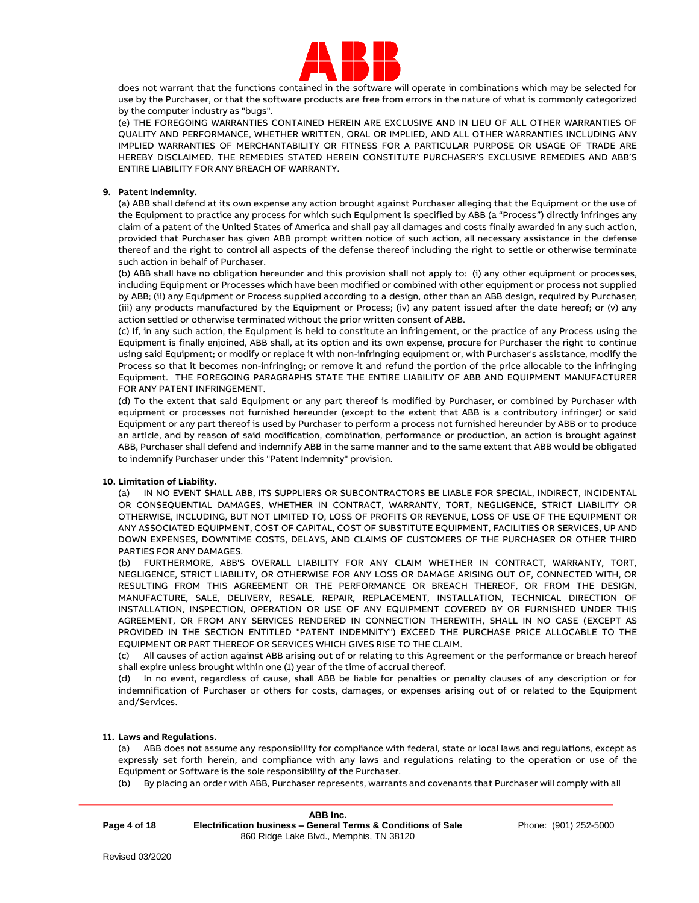

does not warrant that the functions contained in the software will operate in combinations which may be selected for use by the Purchaser, or that the software products are free from errors in the nature of what is commonly categorized by the computer industry as "bugs".

(e) THE FOREGOING WARRANTIES CONTAINED HEREIN ARE EXCLUSIVE AND IN LIEU OF ALL OTHER WARRANTIES OF QUALITY AND PERFORMANCE, WHETHER WRITTEN, ORAL OR IMPLIED, AND ALL OTHER WARRANTIES INCLUDING ANY IMPLIED WARRANTIES OF MERCHANTABILITY OR FITNESS FOR A PARTICULAR PURPOSE OR USAGE OF TRADE ARE HEREBY DISCLAIMED. THE REMEDIES STATED HEREIN CONSTITUTE PURCHASER'S EXCLUSIVE REMEDIES AND ABB'S ENTIRE LIABILITY FOR ANY BREACH OF WARRANTY.

## **9. Patent Indemnity.**

(a) ABB shall defend at its own expense any action brought against Purchaser alleging that the Equipment or the use of the Equipment to practice any process for which such Equipment is specified by ABB (a "Process") directly infringes any claim of a patent of the United States of America and shall pay all damages and costs finally awarded in any such action, provided that Purchaser has given ABB prompt written notice of such action, all necessary assistance in the defense thereof and the right to control all aspects of the defense thereof including the right to settle or otherwise terminate such action in behalf of Purchaser.

(b) ABB shall have no obligation hereunder and this provision shall not apply to: (i) any other equipment or processes, including Equipment or Processes which have been modified or combined with other equipment or process not supplied by ABB; (ii) any Equipment or Process supplied according to a design, other than an ABB design, required by Purchaser; (iii) any products manufactured by the Equipment or Process; (iv) any patent issued after the date hereof; or (v) any action settled or otherwise terminated without the prior written consent of ABB.

(c) If, in any such action, the Equipment is held to constitute an infringement, or the practice of any Process using the Equipment is finally enjoined, ABB shall, at its option and its own expense, procure for Purchaser the right to continue using said Equipment; or modify or replace it with non-infringing equipment or, with Purchaser's assistance, modify the Process so that it becomes non-infringing; or remove it and refund the portion of the price allocable to the infringing Equipment. THE FOREGOING PARAGRAPHS STATE THE ENTIRE LIABILITY OF ABB AND EQUIPMENT MANUFACTURER FOR ANY PATENT INFRINGEMENT.

(d) To the extent that said Equipment or any part thereof is modified by Purchaser, or combined by Purchaser with equipment or processes not furnished hereunder (except to the extent that ABB is a contributory infringer) or said Equipment or any part thereof is used by Purchaser to perform a process not furnished hereunder by ABB or to produce an article, and by reason of said modification, combination, performance or production, an action is brought against ABB, Purchaser shall defend and indemnify ABB in the same manner and to the same extent that ABB would be obligated to indemnify Purchaser under this "Patent Indemnity" provision.

### **10. Limitation of Liability.**

(a) IN NO EVENT SHALL ABB, ITS SUPPLIERS OR SUBCONTRACTORS BE LIABLE FOR SPECIAL, INDIRECT, INCIDENTAL OR CONSEQUENTIAL DAMAGES, WHETHER IN CONTRACT, WARRANTY, TORT, NEGLIGENCE, STRICT LIABILITY OR OTHERWISE, INCLUDING, BUT NOT LIMITED TO, LOSS OF PROFITS OR REVENUE, LOSS OF USE OF THE EQUIPMENT OR ANY ASSOCIATED EQUIPMENT, COST OF CAPITAL, COST OF SUBSTITUTE EQUIPMENT, FACILITIES OR SERVICES, UP AND DOWN EXPENSES, DOWNTIME COSTS, DELAYS, AND CLAIMS OF CUSTOMERS OF THE PURCHASER OR OTHER THIRD PARTIES FOR ANY DAMAGES.

(b) FURTHERMORE, ABB'S OVERALL LIABILITY FOR ANY CLAIM WHETHER IN CONTRACT, WARRANTY, TORT, NEGLIGENCE, STRICT LIABILITY, OR OTHERWISE FOR ANY LOSS OR DAMAGE ARISING OUT OF, CONNECTED WITH, OR RESULTING FROM THIS AGREEMENT OR THE PERFORMANCE OR BREACH THEREOF, OR FROM THE DESIGN, MANUFACTURE, SALE, DELIVERY, RESALE, REPAIR, REPLACEMENT, INSTALLATION, TECHNICAL DIRECTION OF INSTALLATION, INSPECTION, OPERATION OR USE OF ANY EQUIPMENT COVERED BY OR FURNISHED UNDER THIS AGREEMENT, OR FROM ANY SERVICES RENDERED IN CONNECTION THEREWITH, SHALL IN NO CASE (EXCEPT AS PROVIDED IN THE SECTION ENTITLED "PATENT INDEMNITY") EXCEED THE PURCHASE PRICE ALLOCABLE TO THE EQUIPMENT OR PART THEREOF OR SERVICES WHICH GIVES RISE TO THE CLAIM.

(c) All causes of action against ABB arising out of or relating to this Agreement or the performance or breach hereof shall expire unless brought within one (1) year of the time of accrual thereof.

(d) In no event, regardless of cause, shall ABB be liable for penalties or penalty clauses of any description or for indemnification of Purchaser or others for costs, damages, or expenses arising out of or related to the Equipment and/Services.

### **11. Laws and Regulations.**

(a) ABB does not assume any responsibility for compliance with federal, state or local laws and regulations, except as expressly set forth herein, and compliance with any laws and regulations relating to the operation or use of the Equipment or Software is the sole responsibility of the Purchaser.

(b) By placing an order with ABB, Purchaser represents, warrants and covenants that Purchaser will comply with all

|              | ABB Inc.                                                      |
|--------------|---------------------------------------------------------------|
| Page 4 of 18 | Electrification business – General Terms & Conditions of Sale |
|              | 860 Ridge Lake Blvd., Memphis, TN 38120                       |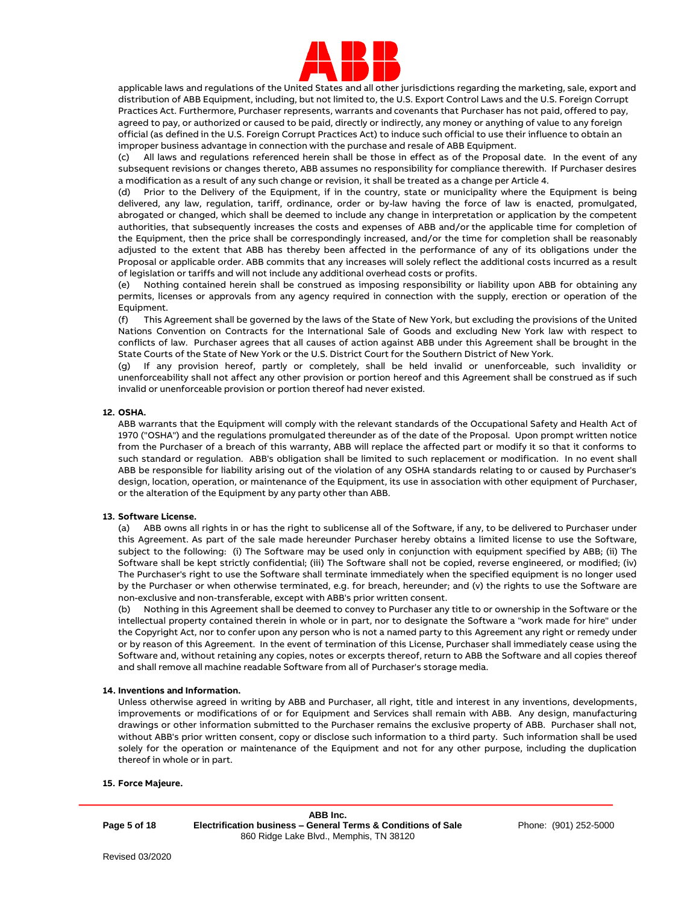

applicable laws and regulations of the United States and all other jurisdictions regarding the marketing, sale, export and distribution of ABB Equipment, including, but not limited to, the U.S. Export Control Laws and the U.S. Foreign Corrupt Practices Act. Furthermore, Purchaser represents, warrants and covenants that Purchaser has not paid, offered to pay, agreed to pay, or authorized or caused to be paid, directly or indirectly, any money or anything of value to any foreign official (as defined in the U.S. Foreign Corrupt Practices Act) to induce such official to use their influence to obtain an improper business advantage in connection with the purchase and resale of ABB Equipment.

(c) All laws and regulations referenced herein shall be those in effect as of the Proposal date. In the event of any subsequent revisions or changes thereto, ABB assumes no responsibility for compliance therewith. If Purchaser desires a modification as a result of any such change or revision, it shall be treated as a change per Article 4.

(d) Prior to the Delivery of the Equipment, if in the country, state or municipality where the Equipment is being delivered, any law, regulation, tariff, ordinance, order or by-law having the force of law is enacted, promulgated, abrogated or changed, which shall be deemed to include any change in interpretation or application by the competent authorities, that subsequently increases the costs and expenses of ABB and/or the applicable time for completion of the Equipment, then the price shall be correspondingly increased, and/or the time for completion shall be reasonably adjusted to the extent that ABB has thereby been affected in the performance of any of its obligations under the Proposal or applicable order. ABB commits that any increases will solely reflect the additional costs incurred as a result of legislation or tariffs and will not include any additional overhead costs or profits.

(e) Nothing contained herein shall be construed as imposing responsibility or liability upon ABB for obtaining any permits, licenses or approvals from any agency required in connection with the supply, erection or operation of the Equipment.

(f) This Agreement shall be governed by the laws of the State of New York, but excluding the provisions of the United Nations Convention on Contracts for the International Sale of Goods and excluding New York law with respect to conflicts of law. Purchaser agrees that all causes of action against ABB under this Agreement shall be brought in the State Courts of the State of New York or the U.S. District Court for the Southern District of New York.

(g) If any provision hereof, partly or completely, shall be held invalid or unenforceable, such invalidity or unenforceability shall not affect any other provision or portion hereof and this Agreement shall be construed as if such invalid or unenforceable provision or portion thereof had never existed.

# **12. OSHA.**

ABB warrants that the Equipment will comply with the relevant standards of the Occupational Safety and Health Act of 1970 ("OSHA") and the regulations promulgated thereunder as of the date of the Proposal. Upon prompt written notice from the Purchaser of a breach of this warranty, ABB will replace the affected part or modify it so that it conforms to such standard or regulation. ABB's obligation shall be limited to such replacement or modification. In no event shall ABB be responsible for liability arising out of the violation of any OSHA standards relating to or caused by Purchaser's design, location, operation, or maintenance of the Equipment, its use in association with other equipment of Purchaser, or the alteration of the Equipment by any party other than ABB.

## **13. Software License.**

(a) ABB owns all rights in or has the right to sublicense all of the Software, if any, to be delivered to Purchaser under this Agreement. As part of the sale made hereunder Purchaser hereby obtains a limited license to use the Software, subject to the following: (i) The Software may be used only in conjunction with equipment specified by ABB; (ii) The Software shall be kept strictly confidential; (iii) The Software shall not be copied, reverse engineered, or modified; (iv) The Purchaser's right to use the Software shall terminate immediately when the specified equipment is no longer used by the Purchaser or when otherwise terminated, e.g. for breach, hereunder; and (v) the rights to use the Software are non-exclusive and non-transferable, except with ABB's prior written consent.

(b) Nothing in this Agreement shall be deemed to convey to Purchaser any title to or ownership in the Software or the intellectual property contained therein in whole or in part, nor to designate the Software a "work made for hire" under the Copyright Act, nor to confer upon any person who is not a named party to this Agreement any right or remedy under or by reason of this Agreement. In the event of termination of this License, Purchaser shall immediately cease using the Software and, without retaining any copies, notes or excerpts thereof, return to ABB the Software and all copies thereof and shall remove all machine readable Software from all of Purchaser's storage media.

### **14. Inventions and Information.**

Unless otherwise agreed in writing by ABB and Purchaser, all right, title and interest in any inventions, developments, improvements or modifications of or for Equipment and Services shall remain with ABB. Any design, manufacturing drawings or other information submitted to the Purchaser remains the exclusive property of ABB. Purchaser shall not, without ABB's prior written consent, copy or disclose such information to a third party. Such information shall be used solely for the operation or maintenance of the Equipment and not for any other purpose, including the duplication thereof in whole or in part.

### **15. Force Majeure.**

**Page 5 of 18**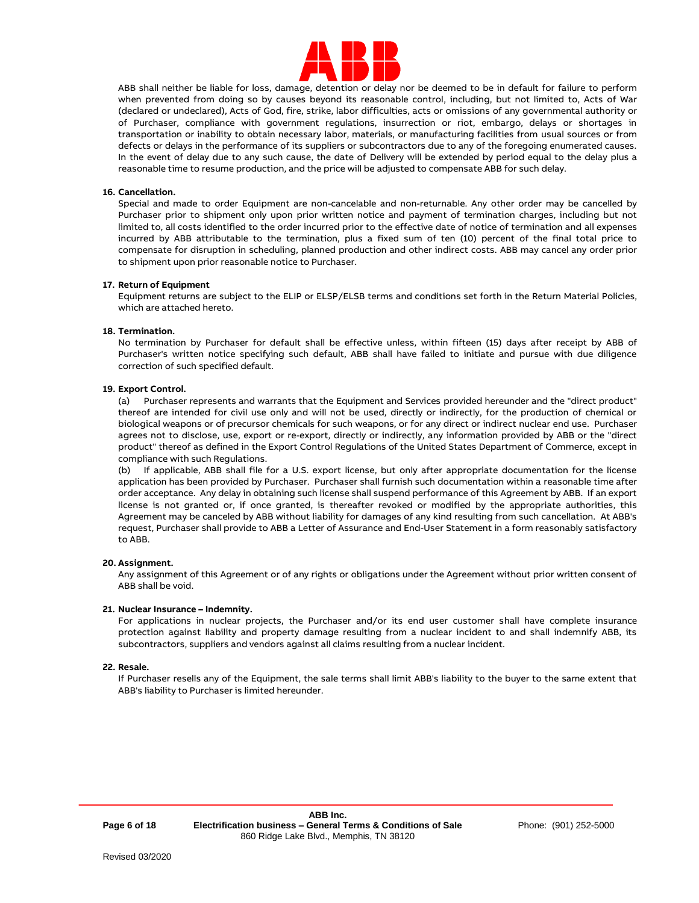

ABB shall neither be liable for loss, damage, detention or delay nor be deemed to be in default for failure to perform when prevented from doing so by causes beyond its reasonable control, including, but not limited to, Acts of War (declared or undeclared), Acts of God, fire, strike, labor difficulties, acts or omissions of any governmental authority or of Purchaser, compliance with government regulations, insurrection or riot, embargo, delays or shortages in transportation or inability to obtain necessary labor, materials, or manufacturing facilities from usual sources or from defects or delays in the performance of its suppliers or subcontractors due to any of the foregoing enumerated causes. In the event of delay due to any such cause, the date of Delivery will be extended by period equal to the delay plus a reasonable time to resume production, and the price will be adjusted to compensate ABB for such delay.

## **16. Cancellation.**

Special and made to order Equipment are non-cancelable and non-returnable. Any other order may be cancelled by Purchaser prior to shipment only upon prior written notice and payment of termination charges, including but not limited to, all costs identified to the order incurred prior to the effective date of notice of termination and all expenses incurred by ABB attributable to the termination, plus a fixed sum of ten (10) percent of the final total price to compensate for disruption in scheduling, planned production and other indirect costs. ABB may cancel any order prior to shipment upon prior reasonable notice to Purchaser.

### **17. Return of Equipment**

Equipment returns are subject to the ELIP or ELSP/ELSB terms and conditions set forth in the Return Material Policies, which are attached hereto.

## **18. Termination.**

No termination by Purchaser for default shall be effective unless, within fifteen (15) days after receipt by ABB of Purchaser's written notice specifying such default, ABB shall have failed to initiate and pursue with due diligence correction of such specified default.

## **19. Export Control.**

(a) Purchaser represents and warrants that the Equipment and Services provided hereunder and the "direct product" thereof are intended for civil use only and will not be used, directly or indirectly, for the production of chemical or biological weapons or of precursor chemicals for such weapons, or for any direct or indirect nuclear end use. Purchaser agrees not to disclose, use, export or re-export, directly or indirectly, any information provided by ABB or the "direct product" thereof as defined in the Export Control Regulations of the United States Department of Commerce, except in compliance with such Regulations.

(b) If applicable, ABB shall file for a U.S. export license, but only after appropriate documentation for the license application has been provided by Purchaser. Purchaser shall furnish such documentation within a reasonable time after order acceptance. Any delay in obtaining such license shall suspend performance of this Agreement by ABB. If an export license is not granted or, if once granted, is thereafter revoked or modified by the appropriate authorities, this Agreement may be canceled by ABB without liability for damages of any kind resulting from such cancellation. At ABB's request, Purchaser shall provide to ABB a Letter of Assurance and End-User Statement in a form reasonably satisfactory to ABB.

### **20. Assignment.**

Any assignment of this Agreement or of any rights or obligations under the Agreement without prior written consent of ABB shall be void.

### **21. Nuclear Insurance – Indemnity.**

For applications in nuclear projects, the Purchaser and/or its end user customer shall have complete insurance protection against liability and property damage resulting from a nuclear incident to and shall indemnify ABB, its subcontractors, suppliers and vendors against all claims resulting from a nuclear incident.

## **22. Resale.**

If Purchaser resells any of the Equipment, the sale terms shall limit ABB's liability to the buyer to the same extent that ABB's liability to Purchaser is limited hereunder.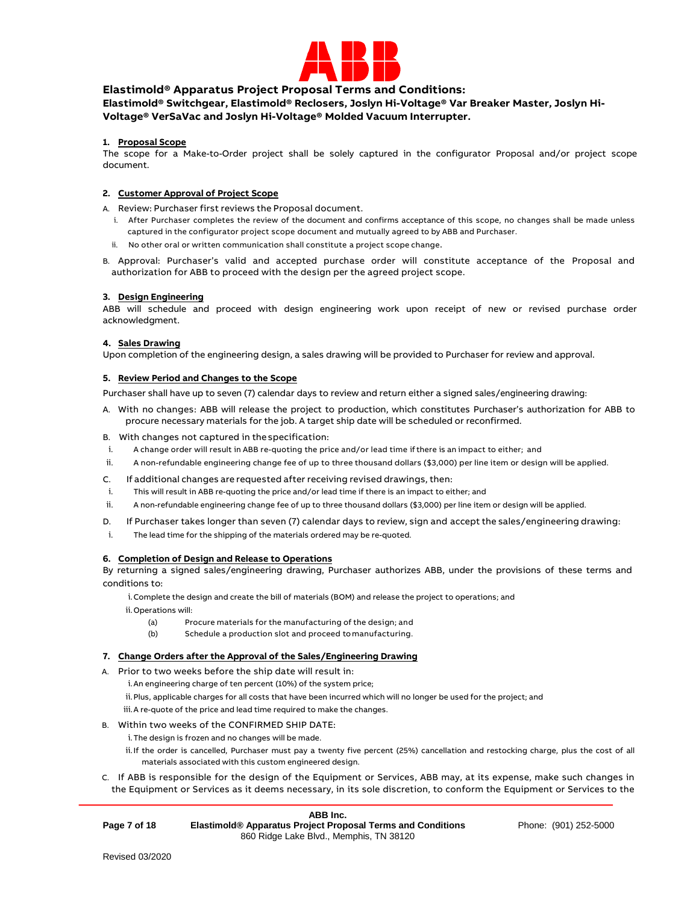

# **Elastimold® Apparatus Project Proposal Terms and Conditions:**

**Elastimold® Switchgear, Elastimold® Reclosers, Joslyn Hi-Voltage® Var Breaker Master, Joslyn Hi-Voltage® VerSaVac and Joslyn Hi-Voltage® Molded Vacuum Interrupter.**

# **1. Proposal Scope**

The scope for a Make-to-Order project shall be solely captured in the configurator Proposal and/or project scope document.

# **2. Customer Approval of Project Scope**

A. Review: Purchaser first reviews the Proposal document.

- i. After Purchaser completes the review of the document and confirms acceptance of this scope, no changes shall be made unless captured in the configurator project scope document and mutually agreed to by ABB and Purchaser.
- ii. No other oral or written communication shall constitute a project scope change.
- B. Approval: Purchaser's valid and accepted purchase order will constitute acceptance of the Proposal and authorization for ABB to proceed with the design per the agreed project scope.

## **3. Design Engineering**

ABB will schedule and proceed with design engineering work upon receipt of new or revised purchase order acknowledgment.

## **4. Sales Drawing**

Upon completion of the engineering design, a sales drawing will be provided to Purchaser for review and approval.

## **5. Review Period and Changes to the Scope**

Purchaser shall have up to seven (7) calendar days to review and return either a signed sales/engineering drawing:

A. With no changes: ABB will release the project to production, which constitutes Purchaser's authorization for ABB to procure necessary materials for the job. A target ship date will be scheduled or reconfirmed.

B. With changes not captured in thespecification:

- i. A change order will result in ABB re-quoting the price and/or lead time if there is an impact to either; and
- ii. A non-refundable engineering change fee of up to three thousand dollars (\$3,000) per line item or design will be applied.
- C. If additional changes are requested after receiving revised drawings, then:
- i. This will result in ABB re-quoting the price and/or lead time if there is an impact to either; and
- ii. A non-refundable engineering change fee of up to three thousand dollars (\$3,000) per line item or design will be applied.
- D. If Purchaser takes longer than seven (7) calendar days to review, sign and accept the sales/engineering drawing:
- i. The lead time for the shipping of the materials ordered may be re-quoted.

## **6. Completion of Design and Release to Operations**

By returning a signed sales/engineering drawing, Purchaser authorizes ABB, under the provisions of these terms and conditions to:

i.Complete the design and create the bill of materials (BOM) and release the project to operations; and

ii.Operations will:

- (a) Procure materials for the manufacturing of the design; and
- (b) Schedule a production slot and proceed tomanufacturing.

## **7. Change Orders after the Approval of the Sales/Engineering Drawing**

A. Prior to two weeks before the ship date will result in:

i.An engineering charge of ten percent (10%) of the system price;

ii.Plus, applicable charges for all costs that have been incurred which will no longer be used for the project; and

iii.A re-quote of the price and lead time required to make the changes.

## B. Within two weeks of the CONFIRMED SHIP DATE:

i.The design is frozen and no changes will be made.

- ii.If the order is cancelled, Purchaser must pay a twenty five percent (25%) cancellation and restocking charge, plus the cost of all materials associated with this custom engineered design.
- C. If ABB is responsible for the design of the Equipment or Services, ABB may, at its expense, make such changes in the Equipment or Services as it deems necessary, in its sole discretion, to conform the Equipment or Services to the

|              | ABB Inc.                                                    |
|--------------|-------------------------------------------------------------|
| Page 7 of 18 | Elastimold® Apparatus Project Proposal Terms and Conditions |
|              | 860 Ridge Lake Blvd., Memphis, TN 38120                     |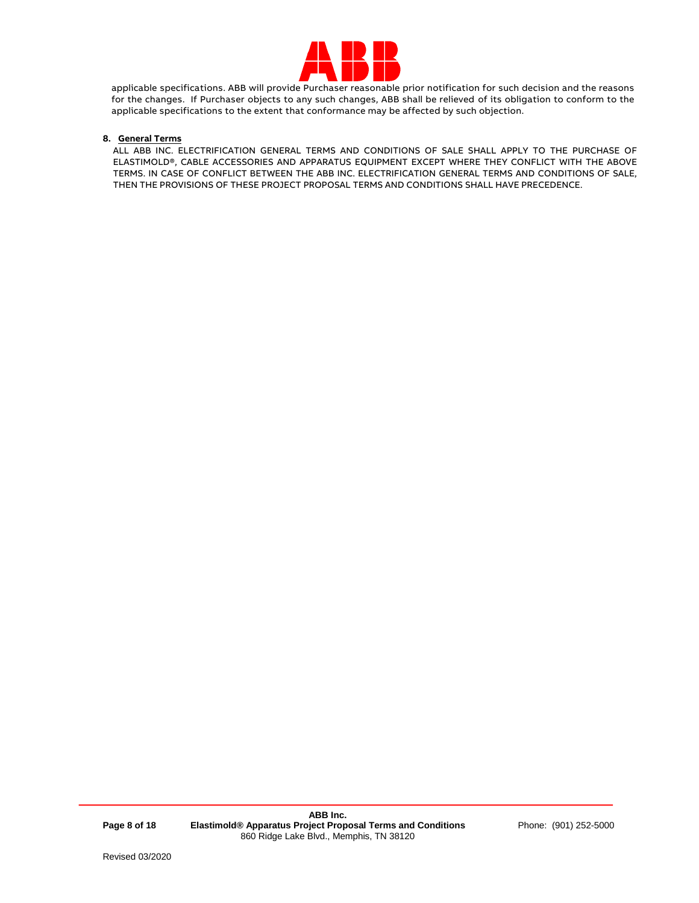

applicable specifications. ABB will provide Purchaser reasonable prior notification for such decision and the reasons for the changes. If Purchaser objects to any such changes, ABB shall be relieved of its obligation to conform to the applicable specifications to the extent that conformance may be affected by such objection.

# **8. General Terms**

ALL ABB INC. ELECTRIFICATION GENERAL TERMS AND CONDITIONS OF SALE SHALL APPLY TO THE PURCHASE OF ELASTIMOLD®, CABLE ACCESSORIES AND APPARATUS EQUIPMENT EXCEPT WHERE THEY CONFLICT WITH THE ABOVE TERMS. IN CASE OF CONFLICT BETWEEN THE ABB INC. ELECTRIFICATION GENERAL TERMS AND CONDITIONS OF SALE, THEN THE PROVISIONS OF THESE PROJECT PROPOSAL TERMS AND CONDITIONS SHALL HAVE PRECEDENCE.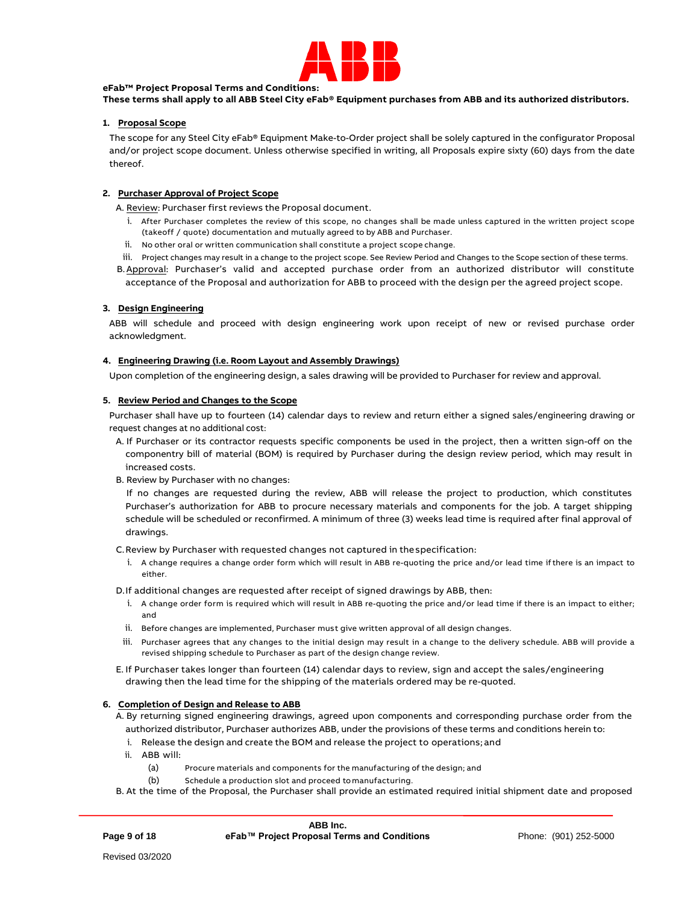

## **eFab™ Project Proposal Terms and Conditions:**

**These terms shall apply to all ABB Steel City eFab® Equipment purchases from ABB and its authorized distributors.** 

## **1. Proposal Scope**

The scope for any Steel City eFab® Equipment Make-to-Order project shall be solely captured in the configurator Proposal and/or project scope document. Unless otherwise specified in writing, all Proposals expire sixty (60) days from the date thereof.

# **2. Purchaser Approval of Project Scope**

A. Review: Purchaser first reviews the Proposal document.

- i. After Purchaser completes the review of this scope, no changes shall be made unless captured in the written project scope (takeoff / quote) documentation and mutually agreed to by ABB and Purchaser.
- ii. No other oral or written communication shall constitute a project scope change.
- iii. Project changes may result in a change to the project scope. See Review Period and Changes to the Scope section of these terms.
- B.Approval: Purchaser's valid and accepted purchase order from an authorized distributor will constitute acceptance of the Proposal and authorization for ABB to proceed with the design per the agreed project scope.

## **3. Design Engineering**

ABB will schedule and proceed with design engineering work upon receipt of new or revised purchase order acknowledgment.

## **4. Engineering Drawing (i.e. Room Layout and Assembly Drawings)**

Upon completion of the engineering design, a sales drawing will be provided to Purchaser for review and approval.

## **5. Review Period and Changes to the Scope**

Purchaser shall have up to fourteen (14) calendar days to review and return either a signed sales/engineering drawing or request changes at no additional cost:

- A. If Purchaser or its contractor requests specific components be used in the project, then a written sign-off on the componentry bill of material (BOM) is required by Purchaser during the design review period, which may result in increased costs.
- B. Review by Purchaser with no changes:

If no changes are requested during the review, ABB will release the project to production, which constitutes Purchaser's authorization for ABB to procure necessary materials and components for the job. A target shipping schedule will be scheduled or reconfirmed. A minimum of three (3) weeks lead time is required after final approval of drawings.

C.Review by Purchaser with requested changes not captured in thespecification:

i. A change requires a change order form which will result in ABB re-quoting the price and/or lead time if there is an impact to either.

D.If additional changes are requested after receipt of signed drawings by ABB, then:

- i. A change order form is required which will result in ABB re-quoting the price and/or lead time if there is an impact to either; and
- ii. Before changes are implemented, Purchaser must give written approval of all design changes.
- iii. Purchaser agrees that any changes to the initial design may result in a change to the delivery schedule. ABB will provide a revised shipping schedule to Purchaser as part of the design change review.
- E. If Purchaser takes longer than fourteen (14) calendar days to review, sign and accept the sales/engineering drawing then the lead time for the shipping of the materials ordered may be re-quoted.

### **6. Completion of Design and Release to ABB**

A. By returning signed engineering drawings, agreed upon components and corresponding purchase order from the authorized distributor, Purchaser authorizes ABB, under the provisions of these terms and conditions herein to:

- i. Release the design and create the BOM and release the project to operations; and
- ii. ABB will:
	- (a) Procure materials and components for the manufacturing of the design; and
	- (b) Schedule a production slot and proceed tomanufacturing.
- B. At the time of the Proposal, the Purchaser shall provide an estimated required initial shipment date and proposed

**Page 9 of 18**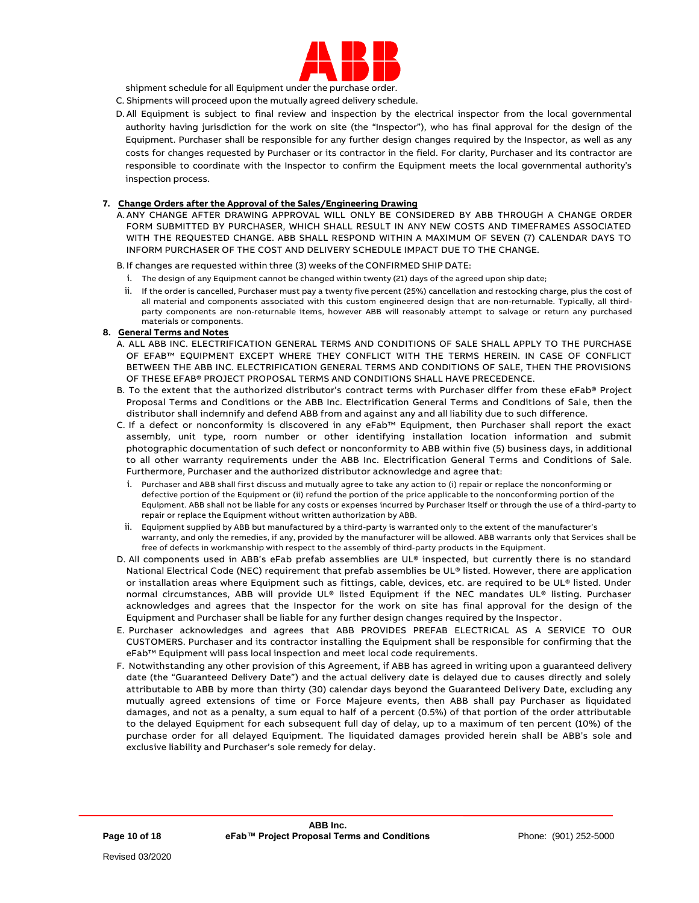

shipment schedule for all Equipment under the purchase order.

- C. Shipments will proceed upon the mutually agreed delivery schedule.
- D. All Equipment is subject to final review and inspection by the electrical inspector from the local governmental authority having jurisdiction for the work on site (the "Inspector"), who has final approval for the design of the Equipment. Purchaser shall be responsible for any further design changes required by the Inspector, as well as any costs for changes requested by Purchaser or its contractor in the field. For clarity, Purchaser and its contractor are responsible to coordinate with the Inspector to confirm the Equipment meets the local governmental authority's inspection process.

# **7. Change Orders after the Approval of the Sales/Engineering Drawing**

A. ANY CHANGE AFTER DRAWING APPROVAL WILL ONLY BE CONSIDERED BY ABB THROUGH A CHANGE ORDER FORM SUBMITTED BY PURCHASER, WHICH SHALL RESULT IN ANY NEW COSTS AND TIMEFRAMES ASSOCIATED WITH THE REQUESTED CHANGE. ABB SHALL RESPOND WITHIN A MAXIMUM OF SEVEN (7) CALENDAR DAYS TO INFORM PURCHASER OF THE COST AND DELIVERY SCHEDULE IMPACT DUE TO THE CHANGE.

B. If changes are requested within three (3) weeks of the CONFIRMED SHIP DATE:

- i. The design of any Equipment cannot be changed within twenty (21) days of the agreed upon ship date;
- ii. If the order is cancelled, Purchaser must pay a twenty five percent (25%) cancellation and restocking charge, plus the cost of all material and components associated with this custom engineered design that are non-returnable. Typically, all thirdparty components are non-returnable items, however ABB will reasonably attempt to salvage or return any purchased materials or components.
- **8. General Terms and Notes**
	- A. ALL ABB INC. ELECTRIFICATION GENERAL TERMS AND CONDITIONS OF SALE SHALL APPLY TO THE PURCHASE OF EFAB™ EQUIPMENT EXCEPT WHERE THEY CONFLICT WITH THE TERMS HEREIN. IN CASE OF CONFLICT BETWEEN THE ABB INC. ELECTRIFICATION GENERAL TERMS AND CONDITIONS OF SALE, THEN THE PROVISIONS OF THESE EFAB® PROJECT PROPOSAL TERMS AND CONDITIONS SHALL HAVE PRECEDENCE.
	- B. To the extent that the authorized distributor's contract terms with Purchaser differ from these eFab® Project Proposal Terms and Conditions or the ABB Inc. Electrification General Terms and Conditions of Sale, then the distributor shall indemnify and defend ABB from and against any and all liability due to such difference.
	- C. If a defect or nonconformity is discovered in any eFab™ Equipment, then Purchaser shall report the exact assembly, unit type, room number or other identifying installation location information and submit photographic documentation of such defect or nonconformity to ABB within five (5) business days, in additional to all other warranty requirements under the ABB Inc. Electrification General Terms and Conditions of Sale. Furthermore, Purchaser and the authorized distributor acknowledge and agree that:
		- i. Purchaser and ABB shall first discuss and mutually agree to take any action to (i) repair or replace the nonconforming or defective portion of the Equipment or (ii) refund the portion of the price applicable to the nonconforming portion of the Equipment. ABB shall not be liable for any costs or expenses incurred by Purchaser itself or through the use of a third-party to repair or replace the Equipment without written authorization by ABB.
	- ii. Equipment supplied by ABB but manufactured by a third-party is warranted only to the extent of the manufacturer's warranty, and only the remedies, if any, provided by the manufacturer will be allowed. ABB warrants only that Services shall be free of defects in workmanship with respect to the assembly of third-party products in the Equipment.
	- D. All components used in ABB's eFab prefab assemblies are UL® inspected, but currently there is no standard National Electrical Code (NEC) requirement that prefab assemblies be UL® listed. However, there are application or installation areas where Equipment such as fittings, cable, devices, etc. are required to be UL® listed. Under normal circumstances, ABB will provide UL® listed Equipment if the NEC mandates UL® listing. Purchaser acknowledges and agrees that the Inspector for the work on site has final approval for the design of the Equipment and Purchaser shall be liable for any further design changes required by the Inspector.
	- E. Purchaser acknowledges and agrees that ABB PROVIDES PREFAB ELECTRICAL AS A SERVICE TO OUR CUSTOMERS. Purchaser and its contractor installing the Equipment shall be responsible for confirming that the eFab™ Equipment will pass local inspection and meet local code requirements.
	- F. Notwithstanding any other provision of this Agreement, if ABB has agreed in writing upon a guaranteed delivery date (the "Guaranteed Delivery Date") and the actual delivery date is delayed due to causes directly and solely attributable to ABB by more than thirty (30) calendar days beyond the Guaranteed Delivery Date, excluding any mutually agreed extensions of time or Force Majeure events, then ABB shall pay Purchaser as liquidated damages, and not as a penalty, a sum equal to half of a percent (0.5%) of that portion of the order attributable to the delayed Equipment for each subsequent full day of delay, up to a maximum of ten percent (10%) of the purchase order for all delayed Equipment. The liquidated damages provided herein shall be ABB's sole and exclusive liability and Purchaser's sole remedy for delay.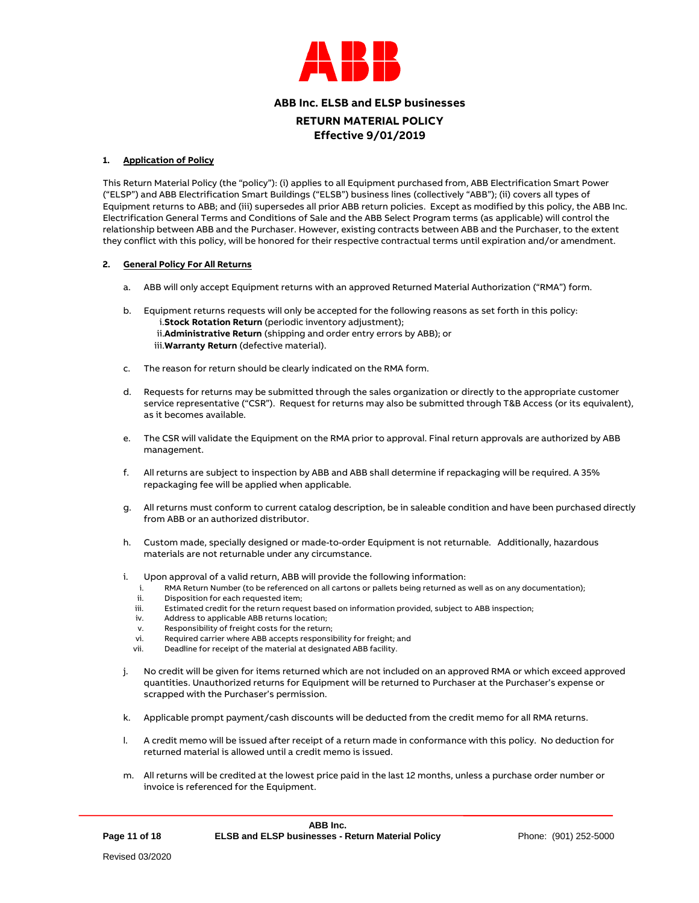

# **ABB Inc. ELSB and ELSP businesses**

**RETURN MATERIAL POLICY Effective 9/01/2019**

## **1. Application of Policy**

This Return Material Policy (the "policy"): (i) applies to all Equipment purchased from, ABB Electrification Smart Power ("ELSP") and ABB Electrification Smart Buildings ("ELSB") business lines (collectively "ABB"); (ii) covers all types of Equipment returns to ABB; and (iii) supersedes all prior ABB return policies. Except as modified by this policy, the ABB Inc. Electrification General Terms and Conditions of Sale and the ABB Select Program terms (as applicable) will control the relationship between ABB and the Purchaser. However, existing contracts between ABB and the Purchaser, to the extent they conflict with this policy, will be honored for their respective contractual terms until expiration and/or amendment.

## **2. General Policy For All Returns**

- a. ABB will only accept Equipment returns with an approved Returned Material Authorization ("RMA") form.
- b. Equipment returns requests will only be accepted for the following reasons as set forth in this policy: i.**Stock Rotation Return** (periodic inventory adjustment); ii.**Administrative Return** (shipping and order entry errors by ABB); or iii.**Warranty Return** (defective material).
- c. The reason for return should be clearly indicated on the RMA form.
- d. Requests for returns may be submitted through the sales organization or directly to the appropriate customer service representative ("CSR"). Request for returns may also be submitted through T&B Access (or its equivalent), as it becomes available.
- e. The CSR will validate the Equipment on the RMA prior to approval. Final return approvals are authorized by ABB management.
- f. All returns are subject to inspection by ABB and ABB shall determine if repackaging will be required. A 35% repackaging fee will be applied when applicable.
- g. All returns must conform to current catalog description, be in saleable condition and have been purchased directly from ABB or an authorized distributor.
- h. Custom made, specially designed or made-to-order Equipment is not returnable. Additionally, hazardous materials are not returnable under any circumstance.
- i. Upon approval of a valid return, ABB will provide the following information:
	- i. RMA Return Number (to be referenced on all cartons or pallets being returned as well as on any documentation);
	- ii. Disposition for each requested item;
	- iii. Estimated credit for the return request based on information provided, subject to ABB inspection;
	- iv. Address to applicable ABB returns location;
	- v. Responsibility of freight costs for the return;<br>vi Required carrier where ABB accepts responsi
	- Required carrier where ABB accepts responsibility for freight; and
	- vii. Deadline for receipt of the material at designated ABB facility.
- j. No credit will be given for items returned which are not included on an approved RMA or which exceed approved quantities. Unauthorized returns for Equipment will be returned to Purchaser at the Purchaser's expense or scrapped with the Purchaser's permission.
- k. Applicable prompt payment/cash discounts will be deducted from the credit memo for all RMA returns.
- l. A credit memo will be issued after receipt of a return made in conformance with this policy. No deduction for returned material is allowed until a credit memo is issued.
- m. All returns will be credited at the lowest price paid in the last 12 months, unless a purchase order number or invoice is referenced for the Equipment.

**Page 11 of 18**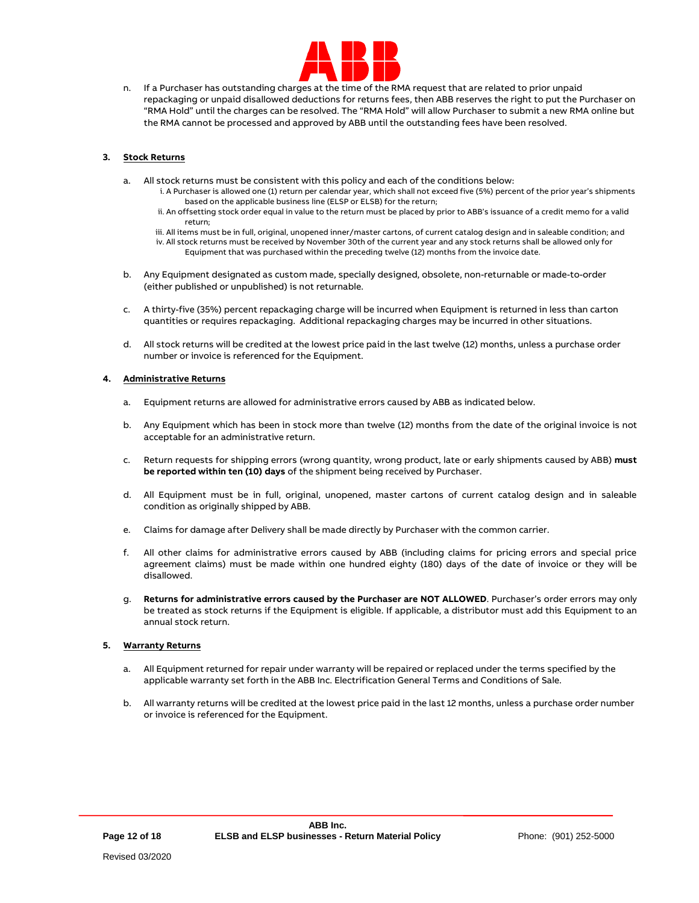

n. If a Purchaser has outstanding charges at the time of the RMA request that are related to prior unpaid repackaging or unpaid disallowed deductions for returns fees, then ABB reserves the right to put the Purchaser on "RMA Hold" until the charges can be resolved. The "RMA Hold" will allow Purchaser to submit a new RMA online but the RMA cannot be processed and approved by ABB until the outstanding fees have been resolved.

# **3. Stock Returns**

- a. All stock returns must be consistent with this policy and each of the conditions below:
	- i. A Purchaser is allowed one (1) return per calendar year, which shall not exceed five (5%) percent of the prior year's shipments based on the applicable business line (ELSP or ELSB) for the return;
	- ii. An offsetting stock order equal in value to the return must be placed by prior to ABB's issuance of a credit memo for a valid return;
	- iii. All items must be in full, original, unopened inner/master cartons, of current catalog design and in saleable condition; and iv. All stock returns must be received by November 30th of the current year and any stock returns shall be allowed only for Equipment that was purchased within the preceding twelve (12) months from the invoice date.
- b. Any Equipment designated as custom made, specially designed, obsolete, non-returnable or made-to-order (either published or unpublished) is not returnable.
- c. A thirty-five (35%) percent repackaging charge will be incurred when Equipment is returned in less than carton quantities or requires repackaging. Additional repackaging charges may be incurred in other situations.
- d. All stock returns will be credited at the lowest price paid in the last twelve (12) months, unless a purchase order number or invoice is referenced for the Equipment.

## **4. Administrative Returns**

- a. Equipment returns are allowed for administrative errors caused by ABB as indicated below.
- b. Any Equipment which has been in stock more than twelve (12) months from the date of the original invoice is not acceptable for an administrative return.
- c. Return requests for shipping errors (wrong quantity, wrong product, late or early shipments caused by ABB) **must be reported within ten (10) days** of the shipment being received by Purchaser.
- d. All Equipment must be in full, original, unopened, master cartons of current catalog design and in saleable condition as originally shipped by ABB.
- e. Claims for damage after Delivery shall be made directly by Purchaser with the common carrier.
- f. All other claims for administrative errors caused by ABB (including claims for pricing errors and special price agreement claims) must be made within one hundred eighty (180) days of the date of invoice or they will be disallowed.
- g. **Returns for administrative errors caused by the Purchaser are NOT ALLOWED**. Purchaser's order errors may only be treated as stock returns if the Equipment is eligible. If applicable, a distributor must add this Equipment to an annual stock return.

## **5. Warranty Returns**

- a. All Equipment returned for repair under warranty will be repaired or replaced under the terms specified by the applicable warranty set forth in the ABB Inc. Electrification General Terms and Conditions of Sale.
- b. All warranty returns will be credited at the lowest price paid in the last 12 months, unless a purchase order number or invoice is referenced for the Equipment.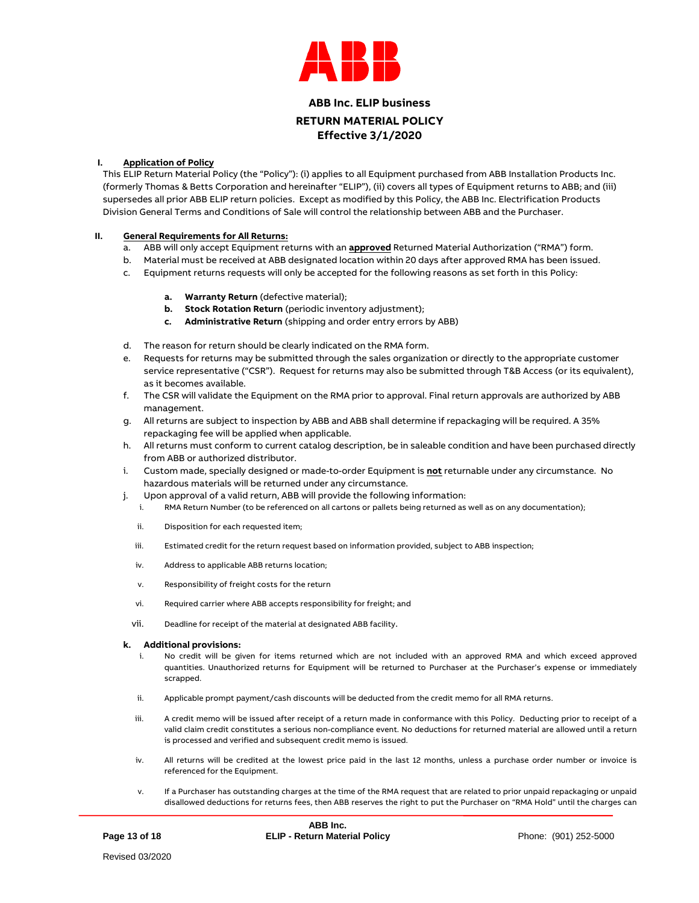

# **ABB Inc. ELIP business RETURN MATERIAL POLICY Effective 3/1/2020**

# **I. Application of Policy**

This ELIP Return Material Policy (the "Policy"): (i) applies to all Equipment purchased from ABB Installation Products Inc. (formerly Thomas & Betts Corporation and hereinafter "ELIP"), (ii) covers all types of Equipment returns to ABB; and (iii) supersedes all prior ABB ELIP return policies. Except as modified by this Policy, the ABB Inc. Electrification Products Division General Terms and Conditions of Sale will control the relationship between ABB and the Purchaser.

# **II. General Requirements for All Returns:**

- a. ABB will only accept Equipment returns with an **approved** Returned Material Authorization ("RMA") form.
- b. Material must be received at ABB designated location within 20 days after approved RMA has been issued.
- c. Equipment returns requests will only be accepted for the following reasons as set forth in this Policy:
	- **a. Warranty Return** (defective material);
	- **b. Stock Rotation Return** (periodic inventory adjustment);
	- **c. Administrative Return** (shipping and order entry errors by ABB)
- d. The reason for return should be clearly indicated on the RMA form.
- e. Requests for returns may be submitted through the sales organization or directly to the appropriate customer service representative ("CSR"). Request for returns may also be submitted through T&B Access (or its equivalent), as it becomes available.
- f. The CSR will validate the Equipment on the RMA prior to approval. Final return approvals are authorized by ABB management.
- g. All returns are subject to inspection by ABB and ABB shall determine if repackaging will be required. A 35% repackaging fee will be applied when applicable.
- h. All returns must conform to current catalog description, be in saleable condition and have been purchased directly from ABB or authorized distributor.
- i. Custom made, specially designed or made-to-order Equipment is **not** returnable under any circumstance. No hazardous materials will be returned under any circumstance.
- j. Upon approval of a valid return, ABB will provide the following information:
	- i. RMA Return Number (to be referenced on all cartons or pallets being returned as well as on any documentation);
	- ii. Disposition for each requested item;
	- iii. Estimated credit for the return request based on information provided, subject to ABB inspection;
	- iv. Address to applicable ABB returns location;
	- v. Responsibility of freight costs for the return
	- vi. Required carrier where ABB accepts responsibility for freight; and
	- vii. Deadline for receipt of the material at designated ABB facility.

## **k. Additional provisions:**

- No credit will be given for items returned which are not included with an approved RMA and which exceed approved quantities. Unauthorized returns for Equipment will be returned to Purchaser at the Purchaser's expense or immediately scrapped.
- ii. Applicable prompt payment/cash discounts will be deducted from the credit memo for all RMA returns.
- iii. A credit memo will be issued after receipt of a return made in conformance with this Policy. Deducting prior to receipt of a valid claim credit constitutes a serious non-compliance event. No deductions for returned material are allowed until a return is processed and verified and subsequent credit memo is issued.
- iv. All returns will be credited at the lowest price paid in the last 12 months, unless a purchase order number or invoice is referenced for the Equipment.
- v. If a Purchaser has outstanding charges at the time of the RMA request that are related to prior unpaid repackaging or unpaid disallowed deductions for returns fees, then ABB reserves the right to put the Purchaser on "RMA Hold" until the charges can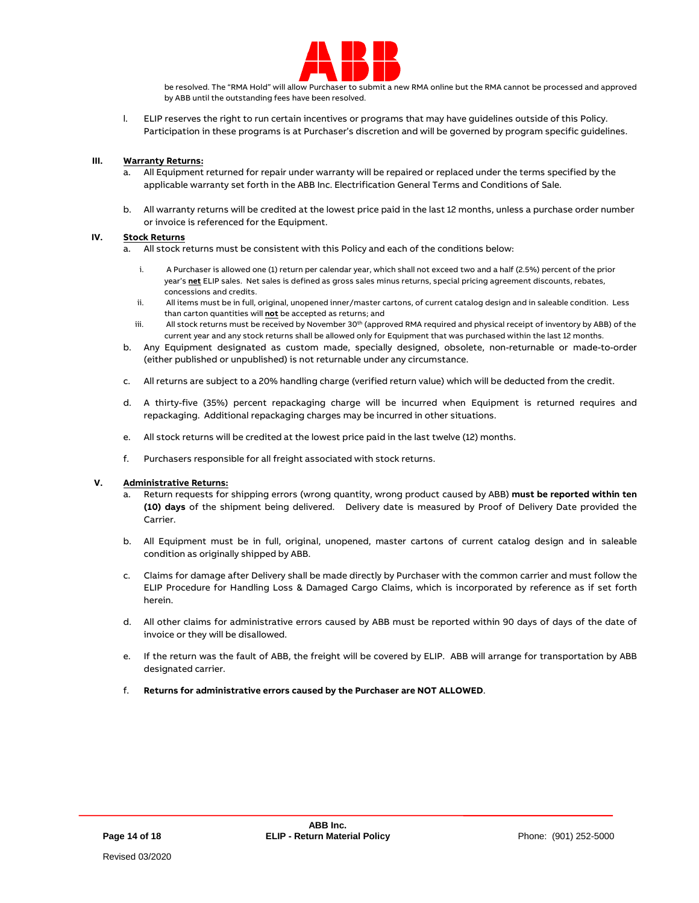

be resolved. The "RMA Hold" will allow Purchaser to submit a new RMA online but the RMA cannot be processed and approved by ABB until the outstanding fees have been resolved.

l. ELIP reserves the right to run certain incentives or programs that may have guidelines outside of this Policy. Participation in these programs is at Purchaser's discretion and will be governed by program specific guidelines.

## **III. Warranty Returns:**

- a. All Equipment returned for repair under warranty will be repaired or replaced under the terms specified by the applicable warranty set forth in the ABB Inc. Electrification General Terms and Conditions of Sale.
- b. All warranty returns will be credited at the lowest price paid in the last 12 months, unless a purchase order number or invoice is referenced for the Equipment.

## **IV. Stock Returns**

- a. All stock returns must be consistent with this Policy and each of the conditions below:
	- i. A Purchaser is allowed one (1) return per calendar year, which shall not exceed two and a half (2.5%) percent of the prior year's **net** ELIP sales. Net sales is defined as gross sales minus returns, special pricing agreement discounts, rebates, concessions and credits.
	- ii. All items must be in full, original, unopened inner/master cartons, of current catalog design and in saleable condition. Less than carton quantities will **not** be accepted as returns; and
	- iii. All stock returns must be received by November 30<sup>th</sup> (approved RMA required and physical receipt of inventory by ABB) of the current year and any stock returns shall be allowed only for Equipment that was purchased within the last 12 months.
- b. Any Equipment designated as custom made, specially designed, obsolete, non-returnable or made-to-order (either published or unpublished) is not returnable under any circumstance.
- c. All returns are subject to a 20% handling charge (verified return value) which will be deducted from the credit.
- d. A thirty-five (35%) percent repackaging charge will be incurred when Equipment is returned requires and repackaging. Additional repackaging charges may be incurred in other situations.
- e. All stock returns will be credited at the lowest price paid in the last twelve (12) months.
- f. Purchasers responsible for all freight associated with stock returns.

## **V. Administrative Returns:**

- a. Return requests for shipping errors (wrong quantity, wrong product caused by ABB) **must be reported within ten (10) days** of the shipment being delivered. Delivery date is measured by Proof of Delivery Date provided the Carrier.
- b. All Equipment must be in full, original, unopened, master cartons of current catalog design and in saleable condition as originally shipped by ABB.
- c. Claims for damage after Delivery shall be made directly by Purchaser with the common carrier and must follow the ELIP Procedure for Handling Loss & Damaged Cargo Claims, which is incorporated by reference as if set forth herein.
- d. All other claims for administrative errors caused by ABB must be reported within 90 days of days of the date of invoice or they will be disallowed.
- e. If the return was the fault of ABB, the freight will be covered by ELIP. ABB will arrange for transportation by ABB designated carrier.
- f. **Returns for administrative errors caused by the Purchaser are NOT ALLOWED**.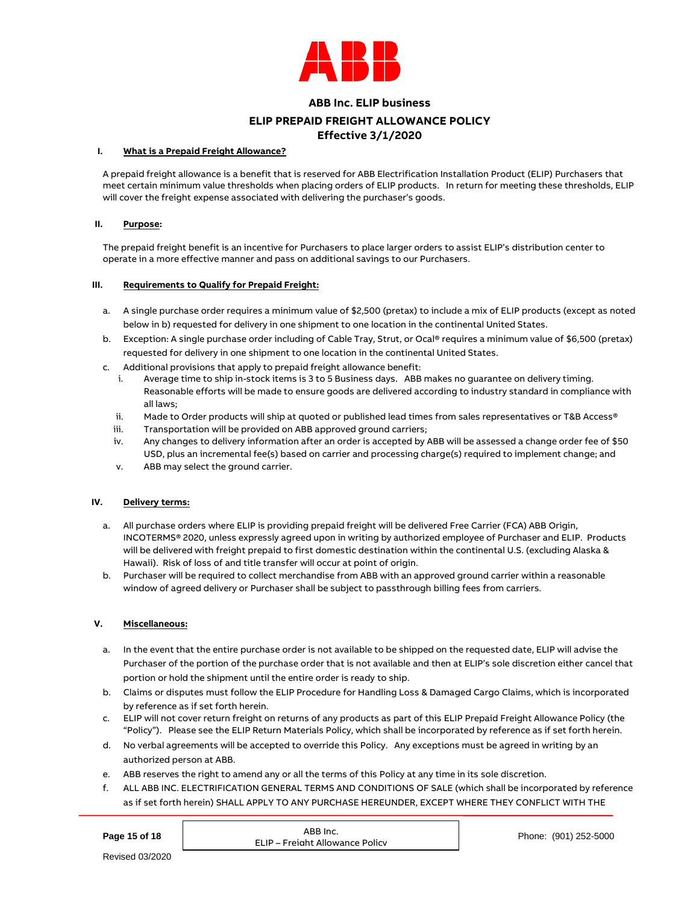

# **ABB Inc. ELIP business**

# **ELIP PREPAID FREIGHT ALLOWANCE POLICY**

# **Effective 3/1/2020**

## **I. What is a Prepaid Freight Allowance?**

A prepaid freight allowance is a benefit that is reserved for ABB Electrification Installation Product (ELIP) Purchasers that meet certain minimum value thresholds when placing orders of ELIP products. In return for meeting these thresholds, ELIP will cover the freight expense associated with delivering the purchaser's goods.

# **II. Purpose:**

The prepaid freight benefit is an incentive for Purchasers to place larger orders to assist ELIP's distribution center to operate in a more effective manner and pass on additional savings to our Purchasers.

## **III. Requirements to Qualify for Prepaid Freight:**

- a. A single purchase order requires a minimum value of \$2,500 (pretax) to include a mix of ELIP products (except as noted below in b) requested for delivery in one shipment to one location in the continental United States.
- b. Exception: A single purchase order including of Cable Tray, Strut, or Ocal® requires a minimum value of \$6,500 (pretax) requested for delivery in one shipment to one location in the continental United States.
- c. Additional provisions that apply to prepaid freight allowance benefit:
	- i. Average time to ship in-stock items is 3 to 5 Business days. ABB makes no guarantee on delivery timing. Reasonable efforts will be made to ensure goods are delivered according to industry standard in compliance with all laws;
	- ii. Made to Order products will ship at quoted or published lead times from sales representatives or T&B Access®
	- iii. Transportation will be provided on ABB approved ground carriers;
	- iv. Any changes to delivery information after an order is accepted by ABB will be assessed a change order fee of \$50 USD, plus an incremental fee(s) based on carrier and processing charge(s) required to implement change; and
	- v. ABB may select the ground carrier.

## **IV. Delivery terms:**

- a. All purchase orders where ELIP is providing prepaid freight will be delivered Free Carrier (FCA) ABB Origin, INCOTERMS® 2020, unless expressly agreed upon in writing by authorized employee of Purchaser and ELIP. Products will be delivered with freight prepaid to first domestic destination within the continental U.S. (excluding Alaska & Hawaii). Risk of loss of and title transfer will occur at point of origin.
- b. Purchaser will be required to collect merchandise from ABB with an approved ground carrier within a reasonable window of agreed delivery or Purchaser shall be subject to passthrough billing fees from carriers.

## **V. Miscellaneous:**

- a. In the event that the entire purchase order is not available to be shipped on the requested date, ELIP will advise the Purchaser of the portion of the purchase order that is not available and then at ELIP's sole discretion either cancel that portion or hold the shipment until the entire order is ready to ship.
- b. Claims or disputes must follow the ELIP Procedure for Handling Loss & Damaged Cargo Claims, which is incorporated by reference as if set forth herein.
- c. ELIP will not cover return freight on returns of any products as part of this ELIP Prepaid Freight Allowance Policy (the "Policy"). Please see the ELIP Return Materials Policy, which shall be incorporated by reference as if set forth herein.
- d. No verbal agreements will be accepted to override this Policy. Any exceptions must be agreed in writing by an authorized person at ABB.

Allowance Policy

- e. ABB reserves the right to amend any or all the terms of this Policy at any time in its sole discretion.
- f. ALL ABB INC. ELECTRIFICATION GENERAL TERMS AND CONDITIONS OF SALE (which shall be incorporated by reference as if set forth herein) SHALL APPLY TO ANY PURCHASE HEREUNDER, EXCEPT WHERE THEY CONFLICT WITH THE

| Page 15 of 18 | ABB Inc.<br><b>FLIP - Freight Allowar</b> |
|---------------|-------------------------------------------|
|---------------|-------------------------------------------|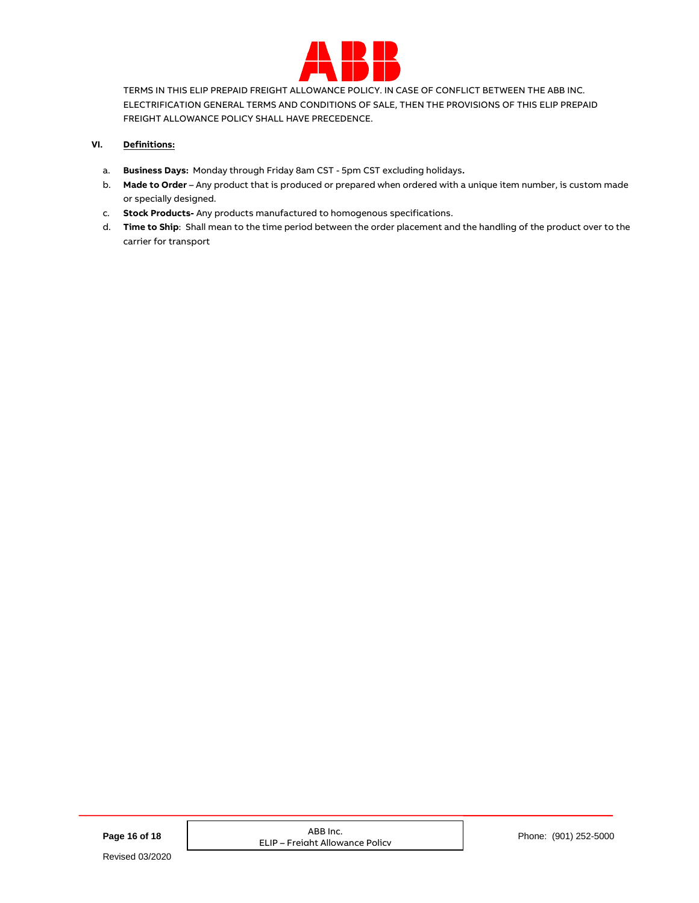

TERMS IN THIS ELIP PREPAID FREIGHT ALLOWANCE POLICY. IN CASE OF CONFLICT BETWEEN THE ABB INC. ELECTRIFICATION GENERAL TERMS AND CONDITIONS OF SALE, THEN THE PROVISIONS OF THIS ELIP PREPAID FREIGHT ALLOWANCE POLICY SHALL HAVE PRECEDENCE.

# **VI. Definitions:**

- a. **Business Days:** Monday through Friday 8am CST 5pm CST excluding holidays**.**
- b. **Made to Order** Any product that is produced or prepared when ordered with a unique item number, is custom made or specially designed.
- c. **Stock Products-** Any products manufactured to homogenous specifications.
- d. **Time to Ship**: Shall mean to the time period between the order placement and the handling of the product over to the carrier for transport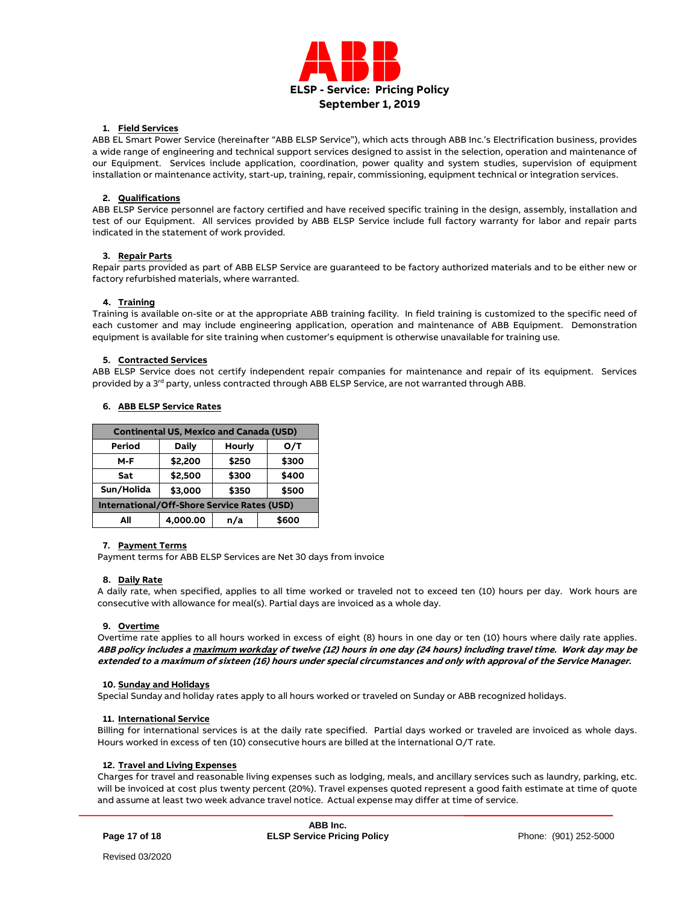

## **1. Field Services**

ABB EL Smart Power Service (hereinafter "ABB ELSP Service"), which acts through ABB Inc.'s Electrification business, provides a wide range of engineering and technical support services designed to assist in the selection, operation and maintenance of our Equipment. Services include application, coordination, power quality and system studies, supervision of equipment installation or maintenance activity, start-up, training, repair, commissioning, equipment technical or integration services.

## **2. Qualifications**

ABB ELSP Service personnel are factory certified and have received specific training in the design, assembly, installation and test of our Equipment. All services provided by ABB ELSP Service include full factory warranty for labor and repair parts indicated in the statement of work provided.

## **3. Repair Parts**

Repair parts provided as part of ABB ELSP Service are guaranteed to be factory authorized materials and to be either new or factory refurbished materials, where warranted.

## **4. Training**

Training is available on-site or at the appropriate ABB training facility. In field training is customized to the specific need of each customer and may include engineering application, operation and maintenance of ABB Equipment. Demonstration equipment is available for site training when customer's equipment is otherwise unavailable for training use.

## **5. Contracted Services**

ABB ELSP Service does not certify independent repair companies for maintenance and repair of its equipment. Services provided by a 3<sup>rd</sup> party, unless contracted through ABB ELSP Service, are not warranted through ABB.

| <b>Continental US, Mexico and Canada (USD)</b> |          |        |       |  |  |  |
|------------------------------------------------|----------|--------|-------|--|--|--|
| Period                                         | Daily    | Hourly | O/T   |  |  |  |
| $M-F$                                          | \$2,200  | \$250  | \$300 |  |  |  |
| Sat                                            | \$2,500  | \$300  | \$400 |  |  |  |
| Sun/Holida                                     | \$3,000  | \$350  | \$500 |  |  |  |
| International/Off-Shore Service Rates (USD)    |          |        |       |  |  |  |
| All                                            | 4,000.00 | n/a    | \$600 |  |  |  |

# **6. ABB ELSP Service Rates**

### **7. Payment Terms**

Payment terms for ABB ELSP Services are Net 30 days from invoice

### **8. Daily Rate**

A daily rate, when specified, applies to all time worked or traveled not to exceed ten (10) hours per day. Work hours are consecutive with allowance for meal(s). Partial days are invoiced as a whole day.

### **9. Overtime**

Overtime rate applies to all hours worked in excess of eight (8) hours in one day or ten (10) hours where daily rate applies. **ABB policy includes a maximum workday of twelve (12) hours in one day (24 hours) including travel time. Work day may be extended to a maximum of sixteen (16) hours under special circumstances and only with approval of the Service Manager.**

### **10. Sunday and Holidays**

Special Sunday and holiday rates apply to all hours worked or traveled on Sunday or ABB recognized holidays.

### **11. International Service**

Billing for international services is at the daily rate specified. Partial days worked or traveled are invoiced as whole days. Hours worked in excess of ten (10) consecutive hours are billed at the international O/T rate.

### **12. Travel and Living Expenses**

Charges for travel and reasonable living expenses such as lodging, meals, and ancillary services such as laundry, parking, etc. will be invoiced at cost plus twenty percent (20%). Travel expenses quoted represent a good faith estimate at time of quote and assume at least two week advance travel notice. Actual expense may differ at time of service.

**Page 17 of 18**

**ABB Inc. ELSP Service Pricing Policy Phone:** (901) 252-5000